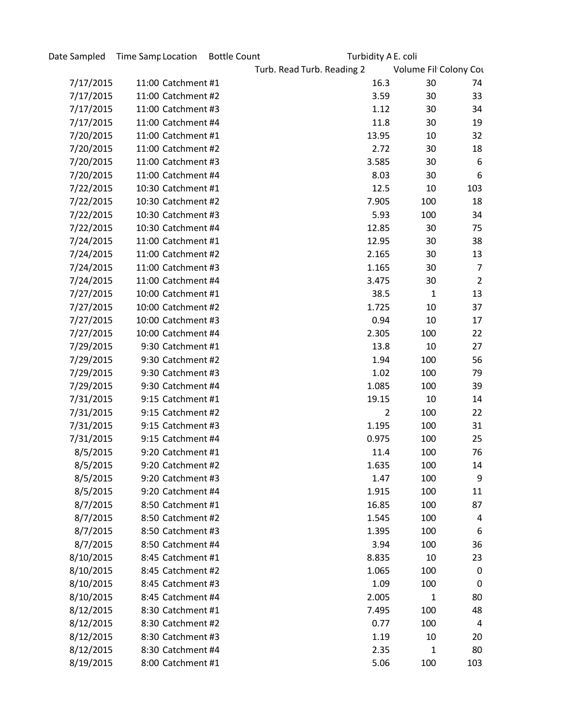| Date Sampled | Time Samp Location | <b>Bottle Count</b> | Turbidity A E. coli        |                       |                |  |
|--------------|--------------------|---------------------|----------------------------|-----------------------|----------------|--|
|              |                    |                     | Turb. Read Turb. Reading 2 | Volume Fil Colony Cou |                |  |
| 7/17/2015    | 11:00 Catchment #1 |                     | 16.3                       | 30                    | 74             |  |
| 7/17/2015    | 11:00 Catchment #2 |                     | 3.59                       | 30                    | 33             |  |
| 7/17/2015    | 11:00 Catchment #3 |                     | 1.12                       | 30                    | 34             |  |
| 7/17/2015    | 11:00 Catchment #4 |                     | 11.8                       | 30                    | 19             |  |
| 7/20/2015    | 11:00 Catchment #1 |                     | 13.95                      | 10                    | 32             |  |
| 7/20/2015    | 11:00 Catchment #2 |                     | 2.72                       | 30                    | 18             |  |
| 7/20/2015    | 11:00 Catchment #3 |                     | 3.585                      | 30                    | 6              |  |
| 7/20/2015    | 11:00 Catchment #4 |                     | 8.03                       | 30                    | 6              |  |
| 7/22/2015    | 10:30 Catchment #1 |                     | 12.5                       | 10                    | 103            |  |
| 7/22/2015    | 10:30 Catchment #2 |                     | 7.905                      | 100                   | 18             |  |
| 7/22/2015    | 10:30 Catchment #3 |                     | 5.93                       | 100                   | 34             |  |
| 7/22/2015    | 10:30 Catchment #4 |                     | 12.85                      | 30                    | 75             |  |
| 7/24/2015    | 11:00 Catchment #1 |                     | 12.95                      | 30                    | 38             |  |
| 7/24/2015    | 11:00 Catchment #2 |                     | 2.165                      | 30                    | 13             |  |
| 7/24/2015    | 11:00 Catchment #3 |                     | 1.165                      | 30                    | 7              |  |
| 7/24/2015    | 11:00 Catchment #4 |                     | 3.475                      | 30                    | $\overline{2}$ |  |
| 7/27/2015    | 10:00 Catchment #1 |                     | 38.5                       | $\mathbf{1}$          | 13             |  |
| 7/27/2015    | 10:00 Catchment #2 |                     | 1.725                      | 10                    | 37             |  |
| 7/27/2015    | 10:00 Catchment #3 |                     | 0.94                       | 10                    | 17             |  |
| 7/27/2015    | 10:00 Catchment #4 |                     | 2.305                      | 100                   | 22             |  |
| 7/29/2015    | 9:30 Catchment #1  |                     | 13.8                       | 10                    | 27             |  |
| 7/29/2015    | 9:30 Catchment #2  |                     | 1.94                       | 100                   | 56             |  |
| 7/29/2015    | 9:30 Catchment #3  |                     | 1.02                       | 100                   | 79             |  |
| 7/29/2015    | 9:30 Catchment #4  |                     | 1.085                      | 100                   | 39             |  |
| 7/31/2015    | 9:15 Catchment #1  |                     | 19.15                      | 10                    | 14             |  |
| 7/31/2015    | 9:15 Catchment #2  |                     | $\overline{2}$             | 100                   | 22             |  |
| 7/31/2015    | 9:15 Catchment #3  |                     | 1.195                      | 100                   | 31             |  |
| 7/31/2015    | 9:15 Catchment #4  |                     | 0.975                      | 100                   | 25             |  |
| 8/5/2015     | 9:20 Catchment #1  |                     | 11.4                       | 100                   | 76             |  |
| 8/5/2015     | 9:20 Catchment #2  |                     | 1.635                      | 100                   | 14             |  |
| 8/5/2015     | 9:20 Catchment #3  |                     | 1.47                       | 100                   | 9              |  |
| 8/5/2015     | 9:20 Catchment #4  |                     | 1.915                      | 100                   | 11             |  |
| 8/7/2015     | 8:50 Catchment #1  |                     | 16.85                      | 100                   | 87             |  |
| 8/7/2015     | 8:50 Catchment #2  |                     | 1.545                      | 100                   | 4              |  |
| 8/7/2015     | 8:50 Catchment #3  |                     | 1.395                      | 100                   | 6              |  |
| 8/7/2015     | 8:50 Catchment #4  |                     | 3.94                       | 100                   | 36             |  |
| 8/10/2015    | 8:45 Catchment #1  |                     | 8.835                      | 10                    | 23             |  |
| 8/10/2015    | 8:45 Catchment #2  |                     | 1.065                      | 100                   | $\mathbf 0$    |  |
| 8/10/2015    | 8:45 Catchment #3  |                     | 1.09                       | 100                   | $\mathbf 0$    |  |
| 8/10/2015    | 8:45 Catchment #4  |                     | 2.005                      | 1                     | 80             |  |
| 8/12/2015    | 8:30 Catchment #1  |                     | 7.495                      | 100                   | 48             |  |
| 8/12/2015    | 8:30 Catchment #2  |                     | 0.77                       | 100                   | 4              |  |
| 8/12/2015    | 8:30 Catchment #3  |                     | 1.19                       | 10                    | 20             |  |
| 8/12/2015    | 8:30 Catchment #4  |                     | 2.35                       | 1                     | 80             |  |
| 8/19/2015    | 8:00 Catchment #1  |                     | 5.06                       | 100                   | 103            |  |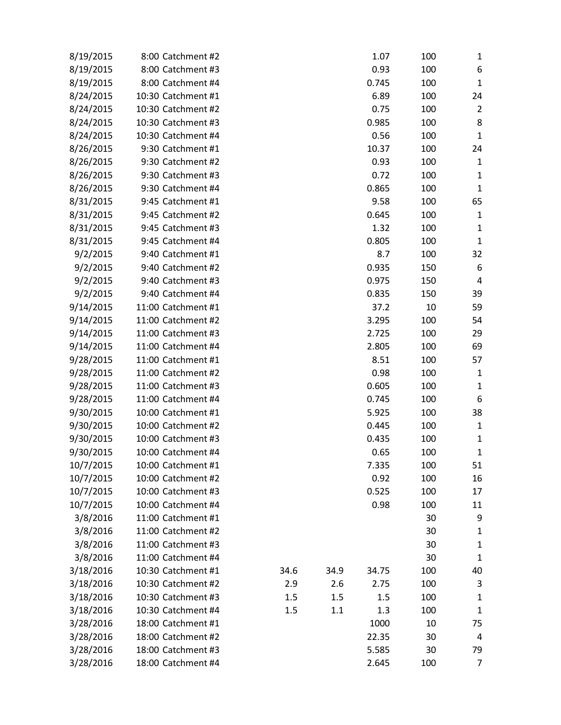| 8/19/2015 | 8:00 Catchment #2  |      |      | 1.07  | 100 | 1              |
|-----------|--------------------|------|------|-------|-----|----------------|
| 8/19/2015 | 8:00 Catchment #3  |      |      | 0.93  | 100 | 6              |
| 8/19/2015 | 8:00 Catchment #4  |      |      | 0.745 | 100 | $\mathbf{1}$   |
| 8/24/2015 | 10:30 Catchment #1 |      |      | 6.89  | 100 | 24             |
| 8/24/2015 | 10:30 Catchment #2 |      |      | 0.75  | 100 | $\overline{2}$ |
| 8/24/2015 | 10:30 Catchment #3 |      |      | 0.985 | 100 | 8              |
| 8/24/2015 | 10:30 Catchment #4 |      |      | 0.56  | 100 | $\mathbf{1}$   |
| 8/26/2015 | 9:30 Catchment #1  |      |      | 10.37 | 100 | 24             |
| 8/26/2015 | 9:30 Catchment #2  |      |      | 0.93  | 100 | 1              |
| 8/26/2015 | 9:30 Catchment #3  |      |      | 0.72  | 100 | $\mathbf{1}$   |
| 8/26/2015 | 9:30 Catchment #4  |      |      | 0.865 | 100 | $\mathbf{1}$   |
| 8/31/2015 | 9:45 Catchment #1  |      |      | 9.58  | 100 | 65             |
| 8/31/2015 | 9:45 Catchment #2  |      |      | 0.645 | 100 | 1              |
| 8/31/2015 | 9:45 Catchment #3  |      |      | 1.32  | 100 | $\mathbf 1$    |
| 8/31/2015 | 9:45 Catchment #4  |      |      | 0.805 | 100 | $\mathbf{1}$   |
| 9/2/2015  | 9:40 Catchment #1  |      |      | 8.7   | 100 | 32             |
| 9/2/2015  | 9:40 Catchment #2  |      |      | 0.935 | 150 | 6              |
| 9/2/2015  | 9:40 Catchment #3  |      |      | 0.975 | 150 | 4              |
| 9/2/2015  | 9:40 Catchment #4  |      |      | 0.835 | 150 | 39             |
| 9/14/2015 | 11:00 Catchment #1 |      |      | 37.2  | 10  | 59             |
| 9/14/2015 | 11:00 Catchment #2 |      |      | 3.295 | 100 | 54             |
| 9/14/2015 | 11:00 Catchment #3 |      |      | 2.725 | 100 | 29             |
| 9/14/2015 | 11:00 Catchment #4 |      |      | 2.805 | 100 | 69             |
| 9/28/2015 | 11:00 Catchment #1 |      |      | 8.51  | 100 | 57             |
| 9/28/2015 | 11:00 Catchment #2 |      |      | 0.98  | 100 | 1              |
| 9/28/2015 | 11:00 Catchment #3 |      |      | 0.605 | 100 | 1              |
| 9/28/2015 | 11:00 Catchment #4 |      |      | 0.745 | 100 | 6              |
| 9/30/2015 | 10:00 Catchment #1 |      |      | 5.925 | 100 | 38             |
| 9/30/2015 | 10:00 Catchment #2 |      |      | 0.445 | 100 | $\mathbf 1$    |
| 9/30/2015 | 10:00 Catchment #3 |      |      | 0.435 | 100 | $\mathbf{1}$   |
| 9/30/2015 | 10:00 Catchment #4 |      |      | 0.65  | 100 | $\mathbf{1}$   |
| 10/7/2015 | 10:00 Catchment #1 |      |      | 7.335 | 100 | 51             |
| 10/7/2015 | 10:00 Catchment #2 |      |      | 0.92  | 100 | 16             |
| 10/7/2015 | 10:00 Catchment #3 |      |      | 0.525 | 100 | 17             |
| 10/7/2015 | 10:00 Catchment #4 |      |      | 0.98  | 100 | 11             |
| 3/8/2016  | 11:00 Catchment #1 |      |      |       | 30  | 9              |
| 3/8/2016  | 11:00 Catchment #2 |      |      |       | 30  | $\mathbf 1$    |
| 3/8/2016  | 11:00 Catchment #3 |      |      |       | 30  | $\mathbf 1$    |
| 3/8/2016  | 11:00 Catchment #4 |      |      |       | 30  | $\mathbf 1$    |
| 3/18/2016 | 10:30 Catchment #1 | 34.6 | 34.9 | 34.75 | 100 | 40             |
| 3/18/2016 | 10:30 Catchment #2 | 2.9  | 2.6  | 2.75  | 100 | 3              |
| 3/18/2016 | 10:30 Catchment #3 | 1.5  | 1.5  | 1.5   | 100 | $\mathbf 1$    |
| 3/18/2016 | 10:30 Catchment #4 | 1.5  | 1.1  | 1.3   | 100 | $\mathbf 1$    |
| 3/28/2016 | 18:00 Catchment #1 |      |      | 1000  | 10  | 75             |
| 3/28/2016 | 18:00 Catchment #2 |      |      | 22.35 | 30  | 4              |
| 3/28/2016 | 18:00 Catchment #3 |      |      | 5.585 | 30  | 79             |
| 3/28/2016 | 18:00 Catchment #4 |      |      | 2.645 | 100 | $\overline{7}$ |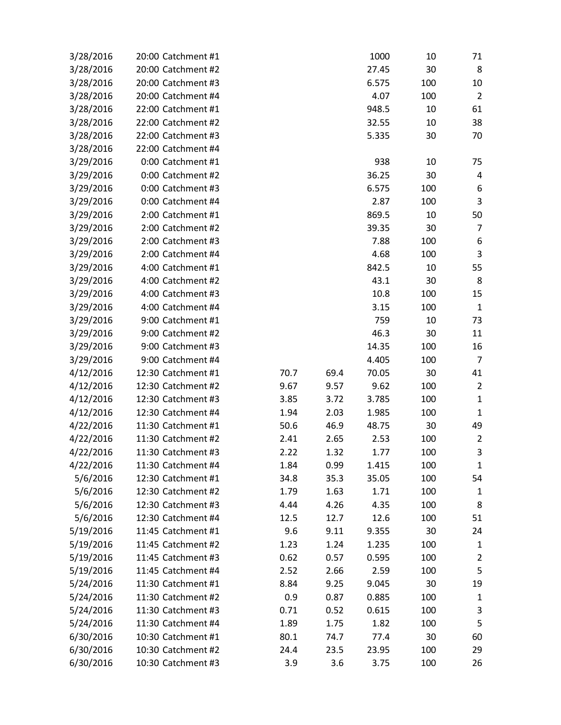| 3/28/2016 | 20:00 Catchment #1 |      |      | 1000  | 10  | 71             |
|-----------|--------------------|------|------|-------|-----|----------------|
| 3/28/2016 | 20:00 Catchment #2 |      |      | 27.45 | 30  | 8              |
| 3/28/2016 | 20:00 Catchment #3 |      |      | 6.575 | 100 | 10             |
| 3/28/2016 | 20:00 Catchment #4 |      |      | 4.07  | 100 | $\overline{2}$ |
| 3/28/2016 | 22:00 Catchment #1 |      |      | 948.5 | 10  | 61             |
| 3/28/2016 | 22:00 Catchment #2 |      |      | 32.55 | 10  | 38             |
| 3/28/2016 | 22:00 Catchment #3 |      |      | 5.335 | 30  | 70             |
| 3/28/2016 | 22:00 Catchment #4 |      |      |       |     |                |
| 3/29/2016 | 0:00 Catchment #1  |      |      | 938   | 10  | 75             |
| 3/29/2016 | 0:00 Catchment #2  |      |      | 36.25 | 30  | 4              |
| 3/29/2016 | 0:00 Catchment #3  |      |      | 6.575 | 100 | 6              |
| 3/29/2016 | 0:00 Catchment #4  |      |      | 2.87  | 100 | 3              |
| 3/29/2016 | 2:00 Catchment #1  |      |      | 869.5 | 10  | 50             |
| 3/29/2016 | 2:00 Catchment #2  |      |      | 39.35 | 30  | 7              |
| 3/29/2016 | 2:00 Catchment #3  |      |      | 7.88  | 100 | 6              |
| 3/29/2016 | 2:00 Catchment #4  |      |      | 4.68  | 100 | 3              |
| 3/29/2016 | 4:00 Catchment #1  |      |      | 842.5 | 10  | 55             |
| 3/29/2016 | 4:00 Catchment #2  |      |      | 43.1  | 30  | 8              |
| 3/29/2016 | 4:00 Catchment #3  |      |      | 10.8  | 100 | 15             |
| 3/29/2016 | 4:00 Catchment #4  |      |      | 3.15  | 100 | $\mathbf 1$    |
| 3/29/2016 | 9:00 Catchment #1  |      |      | 759   | 10  | 73             |
| 3/29/2016 | 9:00 Catchment #2  |      |      | 46.3  | 30  | 11             |
| 3/29/2016 | 9:00 Catchment #3  |      |      | 14.35 | 100 | 16             |
| 3/29/2016 | 9:00 Catchment #4  |      |      | 4.405 | 100 | $\overline{7}$ |
| 4/12/2016 | 12:30 Catchment #1 | 70.7 | 69.4 | 70.05 | 30  | 41             |
| 4/12/2016 | 12:30 Catchment #2 | 9.67 | 9.57 | 9.62  | 100 | $\overline{2}$ |
| 4/12/2016 | 12:30 Catchment #3 | 3.85 | 3.72 | 3.785 | 100 | $\mathbf 1$    |
| 4/12/2016 | 12:30 Catchment #4 | 1.94 | 2.03 | 1.985 | 100 | $\mathbf 1$    |
| 4/22/2016 | 11:30 Catchment #1 | 50.6 | 46.9 | 48.75 | 30  | 49             |
| 4/22/2016 | 11:30 Catchment #2 | 2.41 | 2.65 | 2.53  | 100 | $\overline{2}$ |
| 4/22/2016 | 11:30 Catchment #3 | 2.22 | 1.32 | 1.77  | 100 | 3              |
| 4/22/2016 | 11:30 Catchment #4 | 1.84 | 0.99 | 1.415 | 100 | $\mathbf{1}$   |
| 5/6/2016  | 12:30 Catchment #1 | 34.8 | 35.3 | 35.05 | 100 | 54             |
| 5/6/2016  | 12:30 Catchment #2 | 1.79 | 1.63 | 1.71  | 100 | 1              |
| 5/6/2016  | 12:30 Catchment #3 | 4.44 | 4.26 | 4.35  | 100 | 8              |
| 5/6/2016  | 12:30 Catchment #4 | 12.5 | 12.7 | 12.6  | 100 | 51             |
| 5/19/2016 | 11:45 Catchment #1 | 9.6  | 9.11 | 9.355 | 30  | 24             |
| 5/19/2016 | 11:45 Catchment #2 | 1.23 | 1.24 | 1.235 | 100 | $\mathbf{1}$   |
| 5/19/2016 | 11:45 Catchment #3 | 0.62 | 0.57 | 0.595 | 100 | $\overline{2}$ |
| 5/19/2016 | 11:45 Catchment #4 | 2.52 | 2.66 | 2.59  | 100 | 5              |
| 5/24/2016 | 11:30 Catchment #1 | 8.84 | 9.25 | 9.045 | 30  | 19             |
| 5/24/2016 | 11:30 Catchment #2 | 0.9  | 0.87 | 0.885 | 100 | $\mathbf{1}$   |
| 5/24/2016 | 11:30 Catchment #3 | 0.71 | 0.52 | 0.615 | 100 | 3              |
| 5/24/2016 | 11:30 Catchment #4 | 1.89 | 1.75 | 1.82  | 100 | 5              |
| 6/30/2016 | 10:30 Catchment #1 | 80.1 | 74.7 | 77.4  | 30  | 60             |
| 6/30/2016 | 10:30 Catchment #2 | 24.4 | 23.5 | 23.95 | 100 | 29             |
| 6/30/2016 | 10:30 Catchment #3 | 3.9  | 3.6  | 3.75  | 100 | 26             |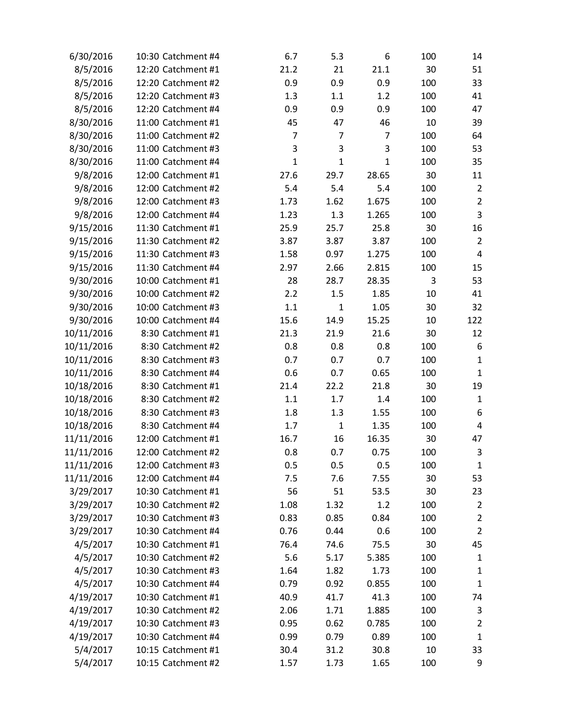| 6/30/2016  | 10:30 Catchment #4 | 6.7          | 5.3            | 6              | 100 | 14             |
|------------|--------------------|--------------|----------------|----------------|-----|----------------|
| 8/5/2016   | 12:20 Catchment #1 | 21.2         | 21             | 21.1           | 30  | 51             |
| 8/5/2016   | 12:20 Catchment #2 | 0.9          | 0.9            | 0.9            | 100 | 33             |
| 8/5/2016   | 12:20 Catchment #3 | 1.3          | 1.1            | 1.2            | 100 | 41             |
| 8/5/2016   | 12:20 Catchment #4 | 0.9          | 0.9            | 0.9            | 100 | 47             |
| 8/30/2016  | 11:00 Catchment #1 | 45           | 47             | 46             | 10  | 39             |
| 8/30/2016  | 11:00 Catchment #2 | 7            | $\overline{7}$ | $\overline{7}$ | 100 | 64             |
| 8/30/2016  | 11:00 Catchment #3 | 3            | 3              | 3              | 100 | 53             |
| 8/30/2016  | 11:00 Catchment #4 | $\mathbf{1}$ | $\mathbf{1}$   | $\mathbf{1}$   | 100 | 35             |
| 9/8/2016   | 12:00 Catchment #1 | 27.6         | 29.7           | 28.65          | 30  | 11             |
| 9/8/2016   | 12:00 Catchment #2 | 5.4          | 5.4            | 5.4            | 100 | $\overline{2}$ |
| 9/8/2016   | 12:00 Catchment #3 | 1.73         | 1.62           | 1.675          | 100 | $\overline{2}$ |
| 9/8/2016   | 12:00 Catchment #4 | 1.23         | 1.3            | 1.265          | 100 | 3              |
| 9/15/2016  | 11:30 Catchment #1 | 25.9         | 25.7           | 25.8           | 30  | 16             |
| 9/15/2016  | 11:30 Catchment #2 | 3.87         | 3.87           | 3.87           | 100 | $\overline{2}$ |
| 9/15/2016  | 11:30 Catchment #3 | 1.58         | 0.97           | 1.275          | 100 | 4              |
| 9/15/2016  | 11:30 Catchment #4 | 2.97         | 2.66           | 2.815          | 100 | 15             |
| 9/30/2016  | 10:00 Catchment #1 | 28           | 28.7           | 28.35          | 3   | 53             |
| 9/30/2016  | 10:00 Catchment #2 | 2.2          | 1.5            | 1.85           | 10  | 41             |
| 9/30/2016  | 10:00 Catchment #3 | 1.1          | $\mathbf{1}$   | 1.05           | 30  | 32             |
| 9/30/2016  | 10:00 Catchment #4 | 15.6         | 14.9           | 15.25          | 10  | 122            |
| 10/11/2016 | 8:30 Catchment #1  | 21.3         | 21.9           | 21.6           | 30  | 12             |
| 10/11/2016 | 8:30 Catchment #2  | 0.8          | 0.8            | 0.8            | 100 | 6              |
| 10/11/2016 | 8:30 Catchment #3  | 0.7          | 0.7            | 0.7            | 100 | $\mathbf{1}$   |
| 10/11/2016 | 8:30 Catchment #4  | 0.6          | 0.7            | 0.65           | 100 | $\mathbf{1}$   |
| 10/18/2016 | 8:30 Catchment #1  | 21.4         | 22.2           | 21.8           | 30  | 19             |
| 10/18/2016 | 8:30 Catchment #2  | 1.1          | 1.7            | 1.4            | 100 | $\mathbf{1}$   |
| 10/18/2016 | 8:30 Catchment #3  | 1.8          | 1.3            | 1.55           | 100 | 6              |
| 10/18/2016 | 8:30 Catchment #4  | 1.7          | $\mathbf{1}$   | 1.35           | 100 | $\sqrt{4}$     |
| 11/11/2016 | 12:00 Catchment #1 | 16.7         | 16             | 16.35          | 30  | 47             |
| 11/11/2016 | 12:00 Catchment #2 | 0.8          | 0.7            | 0.75           | 100 | 3              |
| 11/11/2016 | 12:00 Catchment #3 | 0.5          | 0.5            | 0.5            | 100 | 1              |
| 11/11/2016 | 12:00 Catchment #4 | 7.5          | 7.6            | 7.55           | 30  | 53             |
| 3/29/2017  | 10:30 Catchment #1 | 56           | 51             | 53.5           | 30  | 23             |
| 3/29/2017  | 10:30 Catchment #2 | 1.08         | 1.32           | 1.2            | 100 | $\overline{2}$ |
| 3/29/2017  | 10:30 Catchment #3 | 0.83         | 0.85           | 0.84           | 100 | $\overline{2}$ |
| 3/29/2017  | 10:30 Catchment #4 | 0.76         | 0.44           | 0.6            | 100 | $\overline{2}$ |
| 4/5/2017   | 10:30 Catchment #1 | 76.4         | 74.6           | 75.5           | 30  | 45             |
| 4/5/2017   | 10:30 Catchment #2 | 5.6          | 5.17           | 5.385          | 100 | 1              |
| 4/5/2017   | 10:30 Catchment #3 | 1.64         | 1.82           | 1.73           | 100 | 1              |
| 4/5/2017   | 10:30 Catchment #4 | 0.79         | 0.92           | 0.855          | 100 | 1              |
| 4/19/2017  | 10:30 Catchment #1 | 40.9         | 41.7           | 41.3           | 100 | 74             |
| 4/19/2017  | 10:30 Catchment #2 | 2.06         | 1.71           | 1.885          | 100 | 3              |
| 4/19/2017  | 10:30 Catchment #3 | 0.95         | 0.62           | 0.785          | 100 | 2              |
| 4/19/2017  | 10:30 Catchment #4 | 0.99         | 0.79           | 0.89           | 100 | $\mathbf 1$    |
| 5/4/2017   | 10:15 Catchment #1 | 30.4         | 31.2           | 30.8           | 10  | 33             |
| 5/4/2017   | 10:15 Catchment #2 | 1.57         | 1.73           | 1.65           | 100 | 9              |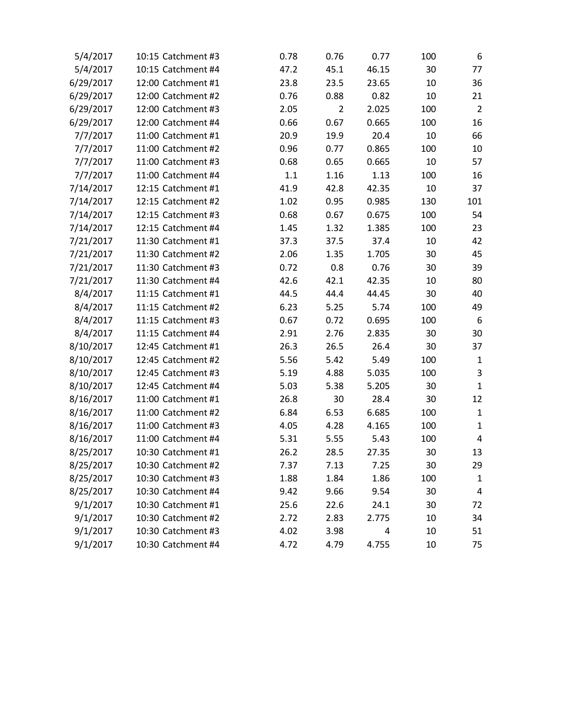| 5/4/2017  | 10:15 Catchment #3 | 0.78 | 0.76           | 0.77  | 100 | 6              |
|-----------|--------------------|------|----------------|-------|-----|----------------|
| 5/4/2017  | 10:15 Catchment #4 | 47.2 | 45.1           | 46.15 | 30  | 77             |
| 6/29/2017 | 12:00 Catchment #1 | 23.8 | 23.5           | 23.65 | 10  | 36             |
| 6/29/2017 | 12:00 Catchment #2 | 0.76 | 0.88           | 0.82  | 10  | 21             |
| 6/29/2017 | 12:00 Catchment #3 | 2.05 | $\overline{2}$ | 2.025 | 100 | $\overline{2}$ |
| 6/29/2017 | 12:00 Catchment #4 | 0.66 | 0.67           | 0.665 | 100 | 16             |
| 7/7/2017  | 11:00 Catchment #1 | 20.9 | 19.9           | 20.4  | 10  | 66             |
| 7/7/2017  | 11:00 Catchment #2 | 0.96 | 0.77           | 0.865 | 100 | 10             |
| 7/7/2017  | 11:00 Catchment #3 | 0.68 | 0.65           | 0.665 | 10  | 57             |
| 7/7/2017  | 11:00 Catchment #4 | 1.1  | 1.16           | 1.13  | 100 | 16             |
| 7/14/2017 | 12:15 Catchment #1 | 41.9 | 42.8           | 42.35 | 10  | 37             |
| 7/14/2017 | 12:15 Catchment #2 | 1.02 | 0.95           | 0.985 | 130 | 101            |
| 7/14/2017 | 12:15 Catchment #3 | 0.68 | 0.67           | 0.675 | 100 | 54             |
| 7/14/2017 | 12:15 Catchment #4 | 1.45 | 1.32           | 1.385 | 100 | 23             |
| 7/21/2017 | 11:30 Catchment #1 | 37.3 | 37.5           | 37.4  | 10  | 42             |
| 7/21/2017 | 11:30 Catchment #2 | 2.06 | 1.35           | 1.705 | 30  | 45             |
| 7/21/2017 | 11:30 Catchment #3 | 0.72 | 0.8            | 0.76  | 30  | 39             |
| 7/21/2017 | 11:30 Catchment #4 | 42.6 | 42.1           | 42.35 | 10  | 80             |
| 8/4/2017  | 11:15 Catchment #1 | 44.5 | 44.4           | 44.45 | 30  | 40             |
| 8/4/2017  | 11:15 Catchment #2 | 6.23 | 5.25           | 5.74  | 100 | 49             |
| 8/4/2017  | 11:15 Catchment #3 | 0.67 | 0.72           | 0.695 | 100 | 6              |
| 8/4/2017  | 11:15 Catchment #4 | 2.91 | 2.76           | 2.835 | 30  | 30             |
| 8/10/2017 | 12:45 Catchment #1 | 26.3 | 26.5           | 26.4  | 30  | 37             |
| 8/10/2017 | 12:45 Catchment #2 | 5.56 | 5.42           | 5.49  | 100 | $\mathbf{1}$   |
| 8/10/2017 | 12:45 Catchment #3 | 5.19 | 4.88           | 5.035 | 100 | 3              |
| 8/10/2017 | 12:45 Catchment #4 | 5.03 | 5.38           | 5.205 | 30  | $\mathbf{1}$   |
| 8/16/2017 | 11:00 Catchment #1 | 26.8 | 30             | 28.4  | 30  | 12             |
| 8/16/2017 | 11:00 Catchment #2 | 6.84 | 6.53           | 6.685 | 100 | $\mathbf{1}$   |
| 8/16/2017 | 11:00 Catchment #3 | 4.05 | 4.28           | 4.165 | 100 | $\mathbf 1$    |
| 8/16/2017 | 11:00 Catchment #4 | 5.31 | 5.55           | 5.43  | 100 | $\overline{4}$ |
| 8/25/2017 | 10:30 Catchment #1 | 26.2 | 28.5           | 27.35 | 30  | 13             |
| 8/25/2017 | 10:30 Catchment #2 | 7.37 | 7.13           | 7.25  | 30  | 29             |
| 8/25/2017 | 10:30 Catchment #3 | 1.88 | 1.84           | 1.86  | 100 | 1              |
| 8/25/2017 | 10:30 Catchment #4 | 9.42 | 9.66           | 9.54  | 30  | 4              |
| 9/1/2017  | 10:30 Catchment #1 | 25.6 | 22.6           | 24.1  | 30  | 72             |
| 9/1/2017  | 10:30 Catchment #2 | 2.72 | 2.83           | 2.775 | 10  | 34             |
| 9/1/2017  | 10:30 Catchment #3 | 4.02 | 3.98           | 4     | 10  | 51             |
| 9/1/2017  | 10:30 Catchment #4 | 4.72 | 4.79           | 4.755 | 10  | 75             |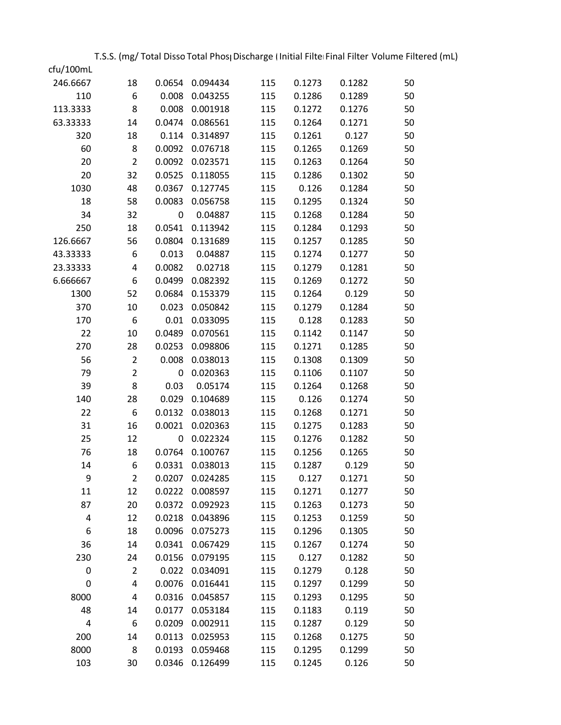T.S.S. (mg/ Total Disso Total Phos<sub>l</sub> Discharge (Initial Filter Final Filter Volume Filtered (mL)

| cfu/100mL<br>246.6667 | 18             | 0.0654           | 0.094434             | 115        | 0.1273 | 0.1282           | 50       |
|-----------------------|----------------|------------------|----------------------|------------|--------|------------------|----------|
| 110                   | 6              | 0.008            | 0.043255             | 115        | 0.1286 | 0.1289           | 50       |
| 113.3333              | 8              | 0.008            | 0.001918             | 115        | 0.1272 | 0.1276           | 50       |
| 63.33333              | 14             | 0.0474           | 0.086561             | 115        | 0.1264 | 0.1271           | 50       |
|                       |                |                  |                      |            |        |                  |          |
| 320<br>60             | 18<br>8        | 0.114            | 0.314897<br>0.076718 | 115        | 0.1261 | 0.127            | 50<br>50 |
| 20                    | $\overline{2}$ | 0.0092<br>0.0092 | 0.023571             | 115<br>115 | 0.1265 | 0.1269<br>0.1264 | 50       |
| 20                    | 32             |                  | 0.118055             |            | 0.1263 |                  |          |
|                       |                | 0.0525           | 0.127745             | 115        | 0.1286 | 0.1302<br>0.1284 | 50       |
| 1030                  | 48             | 0.0367           |                      | 115        | 0.126  |                  | 50       |
| 18                    | 58             | 0.0083           | 0.056758             | 115        | 0.1295 | 0.1324           | 50       |
| 34                    | 32             | 0                | 0.04887              | 115        | 0.1268 | 0.1284           | 50       |
| 250                   | 18             | 0.0541           | 0.113942             | 115        | 0.1284 | 0.1293           | 50       |
| 126.6667              | 56             | 0.0804           | 0.131689             | 115        | 0.1257 | 0.1285           | 50       |
| 43.33333              | 6              | 0.013            | 0.04887              | 115        | 0.1274 | 0.1277           | 50       |
| 23.33333              | $\overline{4}$ | 0.0082           | 0.02718              | 115        | 0.1279 | 0.1281           | 50       |
| 6.666667              | 6              | 0.0499           | 0.082392             | 115        | 0.1269 | 0.1272           | 50       |
| 1300                  | 52             | 0.0684           | 0.153379             | 115        | 0.1264 | 0.129            | 50       |
| 370                   | 10             | 0.023            | 0.050842             | 115        | 0.1279 | 0.1284           | 50       |
| 170                   | 6              | 0.01             | 0.033095             | 115        | 0.128  | 0.1283           | 50       |
| 22                    | 10             | 0.0489           | 0.070561             | 115        | 0.1142 | 0.1147           | 50       |
| 270                   | 28             | 0.0253           | 0.098806             | 115        | 0.1271 | 0.1285           | 50       |
| 56                    | $\overline{2}$ | 0.008            | 0.038013             | 115        | 0.1308 | 0.1309           | 50       |
| 79                    | $\overline{2}$ | 0                | 0.020363             | 115        | 0.1106 | 0.1107           | 50       |
| 39                    | 8              | 0.03             | 0.05174              | 115        | 0.1264 | 0.1268           | 50       |
| 140                   | 28             | 0.029            | 0.104689             | 115        | 0.126  | 0.1274           | 50       |
| 22                    | 6              | 0.0132           | 0.038013             | 115        | 0.1268 | 0.1271           | 50       |
| 31                    | 16             | 0.0021           | 0.020363             | 115        | 0.1275 | 0.1283           | 50       |
| 25                    | 12             | 0                | 0.022324             | 115        | 0.1276 | 0.1282           | 50       |
| 76                    | 18             | 0.0764           | 0.100767             | 115        | 0.1256 | 0.1265           | 50       |
| 14                    | 6              | 0.0331           | 0.038013             | 115        | 0.1287 | 0.129            | 50       |
| 9                     | $\overline{2}$ | 0.0207           | 0.024285             | 115        | 0.127  | 0.1271           | 50       |
| 11                    | 12             | 0.0222           | 0.008597             | 115        | 0.1271 | 0.1277           | 50       |
| 87                    | 20             | 0.0372           | 0.092923             | 115        | 0.1263 | 0.1273           | 50       |
| 4                     | 12             | 0.0218           | 0.043896             | 115        | 0.1253 | 0.1259           | 50       |
| 6                     | 18             | 0.0096           | 0.075273             | 115        | 0.1296 | 0.1305           | 50       |
| 36                    | 14             | 0.0341           | 0.067429             | 115        | 0.1267 | 0.1274           | 50       |
| 230                   | 24             | 0.0156           | 0.079195             | 115        | 0.127  | 0.1282           | 50       |
| 0                     | $\overline{2}$ | 0.022            | 0.034091             | 115        | 0.1279 | 0.128            | 50       |
| 0                     | 4              | 0.0076           | 0.016441             | 115        | 0.1297 | 0.1299           | 50       |
| 8000                  | 4              | 0.0316           | 0.045857             | 115        | 0.1293 | 0.1295           | 50       |
| 48                    | 14             | 0.0177           | 0.053184             | 115        | 0.1183 | 0.119            | 50       |
| 4                     | 6              | 0.0209           | 0.002911             | 115        | 0.1287 | 0.129            | 50       |
| 200                   | 14             | 0.0113           | 0.025953             | 115        | 0.1268 | 0.1275           | 50       |
| 8000                  | 8              | 0.0193           | 0.059468             | 115        | 0.1295 | 0.1299           | 50       |
| 103                   | 30             | 0.0346           | 0.126499             | 115        | 0.1245 | 0.126            | 50       |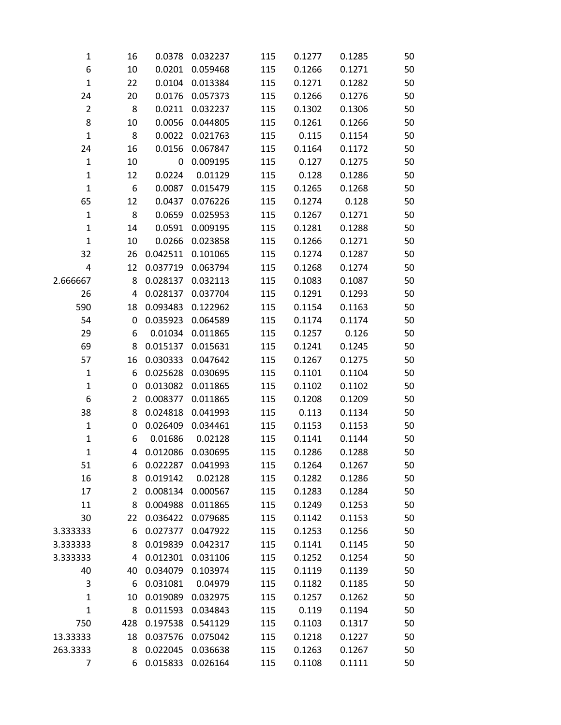| $\mathbf{1}$   | 16  | 0.0378   | 0.032237 | 115 | 0.1277 | 0.1285 | 50 |
|----------------|-----|----------|----------|-----|--------|--------|----|
| 6              | 10  | 0.0201   | 0.059468 | 115 | 0.1266 | 0.1271 | 50 |
| 1              | 22  | 0.0104   | 0.013384 | 115 | 0.1271 | 0.1282 | 50 |
| 24             | 20  | 0.0176   | 0.057373 | 115 | 0.1266 | 0.1276 | 50 |
| $\overline{2}$ | 8   | 0.0211   | 0.032237 | 115 | 0.1302 | 0.1306 | 50 |
| 8              | 10  | 0.0056   | 0.044805 | 115 | 0.1261 | 0.1266 | 50 |
| $\mathbf{1}$   | 8   | 0.0022   | 0.021763 | 115 | 0.115  | 0.1154 | 50 |
| 24             | 16  | 0.0156   | 0.067847 | 115 | 0.1164 | 0.1172 | 50 |
| $\mathbf{1}$   | 10  | 0        | 0.009195 | 115 | 0.127  | 0.1275 | 50 |
| $\mathbf 1$    | 12  | 0.0224   | 0.01129  | 115 | 0.128  | 0.1286 | 50 |
| $\mathbf 1$    | 6   | 0.0087   | 0.015479 | 115 | 0.1265 | 0.1268 | 50 |
| 65             | 12  | 0.0437   | 0.076226 | 115 | 0.1274 | 0.128  | 50 |
| $\mathbf 1$    | 8   | 0.0659   | 0.025953 | 115 | 0.1267 | 0.1271 | 50 |
| $\mathbf 1$    | 14  | 0.0591   | 0.009195 | 115 | 0.1281 | 0.1288 | 50 |
| $\mathbf{1}$   | 10  | 0.0266   | 0.023858 | 115 | 0.1266 | 0.1271 | 50 |
| 32             | 26  | 0.042511 | 0.101065 | 115 | 0.1274 | 0.1287 | 50 |
| 4              | 12  | 0.037719 | 0.063794 | 115 | 0.1268 | 0.1274 | 50 |
| 2.666667       | 8   | 0.028137 | 0.032113 | 115 | 0.1083 | 0.1087 | 50 |
| 26             | 4   | 0.028137 | 0.037704 | 115 | 0.1291 | 0.1293 | 50 |
| 590            | 18  | 0.093483 | 0.122962 | 115 | 0.1154 | 0.1163 | 50 |
| 54             | 0   | 0.035923 | 0.064589 | 115 | 0.1174 | 0.1174 | 50 |
| 29             | 6   | 0.01034  | 0.011865 | 115 | 0.1257 | 0.126  | 50 |
| 69             | 8   | 0.015137 | 0.015631 | 115 | 0.1241 | 0.1245 | 50 |
| 57             | 16  | 0.030333 | 0.047642 | 115 | 0.1267 | 0.1275 | 50 |
| $\mathbf 1$    | 6   | 0.025628 | 0.030695 | 115 | 0.1101 | 0.1104 | 50 |
| $\mathbf 1$    | 0   | 0.013082 | 0.011865 | 115 | 0.1102 | 0.1102 | 50 |
| 6              | 2   | 0.008377 | 0.011865 | 115 | 0.1208 | 0.1209 | 50 |
| 38             | 8   | 0.024818 | 0.041993 | 115 | 0.113  | 0.1134 | 50 |
| $\mathbf{1}$   | 0   | 0.026409 | 0.034461 | 115 | 0.1153 | 0.1153 | 50 |
| 1              | 6   | 0.01686  | 0.02128  | 115 | 0.1141 | 0.1144 | 50 |
| 1              | 4   | 0.012086 | 0.030695 | 115 | 0.1286 | 0.1288 | 50 |
| 51             | 6   | 0.022287 | 0.041993 | 115 | 0.1264 | 0.1267 | 50 |
| 16             | 8   | 0.019142 | 0.02128  | 115 | 0.1282 | 0.1286 | 50 |
| 17             | 2   | 0.008134 | 0.000567 | 115 | 0.1283 | 0.1284 | 50 |
| 11             | 8   | 0.004988 | 0.011865 | 115 | 0.1249 | 0.1253 | 50 |
| 30             | 22  | 0.036422 | 0.079685 | 115 | 0.1142 | 0.1153 | 50 |
| 3.333333       | 6   | 0.027377 | 0.047922 | 115 | 0.1253 | 0.1256 | 50 |
| 3.333333       | 8   | 0.019839 | 0.042317 | 115 | 0.1141 | 0.1145 | 50 |
| 3.333333       | 4   | 0.012301 | 0.031106 | 115 | 0.1252 | 0.1254 | 50 |
| 40             | 40  | 0.034079 | 0.103974 | 115 | 0.1119 | 0.1139 | 50 |
| 3              | 6   | 0.031081 | 0.04979  | 115 | 0.1182 | 0.1185 | 50 |
| 1              | 10  | 0.019089 | 0.032975 | 115 | 0.1257 | 0.1262 | 50 |
| $\mathbf{1}$   | 8   | 0.011593 | 0.034843 | 115 | 0.119  | 0.1194 | 50 |
| 750            | 428 | 0.197538 | 0.541129 | 115 | 0.1103 | 0.1317 | 50 |
| 13.33333       | 18  | 0.037576 | 0.075042 | 115 | 0.1218 | 0.1227 | 50 |
| 263.3333       | 8   | 0.022045 | 0.036638 | 115 | 0.1263 | 0.1267 | 50 |
| 7              | 6   | 0.015833 | 0.026164 | 115 | 0.1108 | 0.1111 | 50 |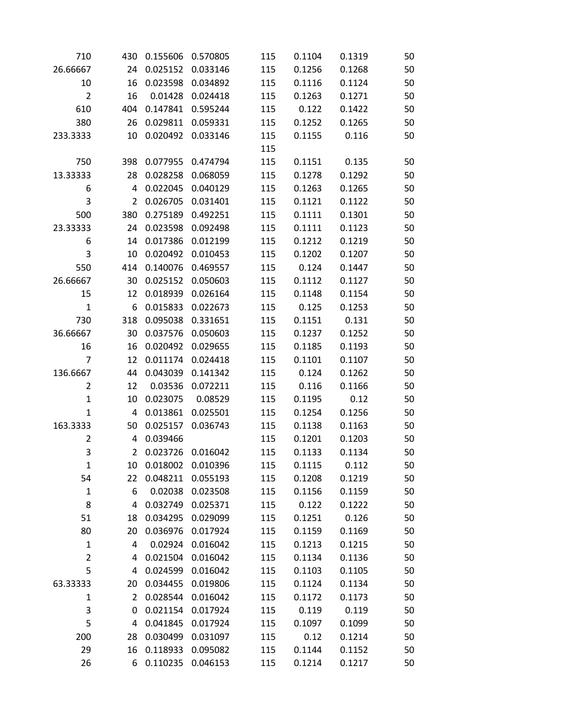| 710            | 430            | 0.155606 | 0.570805          | 115 | 0.1104 | 0.1319 | 50 |
|----------------|----------------|----------|-------------------|-----|--------|--------|----|
| 26.66667       | 24             | 0.025152 | 0.033146          | 115 | 0.1256 | 0.1268 | 50 |
| 10             | 16             | 0.023598 | 0.034892          | 115 | 0.1116 | 0.1124 | 50 |
| $\overline{2}$ | 16             | 0.01428  | 0.024418          | 115 | 0.1263 | 0.1271 | 50 |
| 610            | 404            | 0.147841 | 0.595244          | 115 | 0.122  | 0.1422 | 50 |
| 380            | 26             | 0.029811 | 0.059331          | 115 | 0.1252 | 0.1265 | 50 |
| 233.3333       | 10             | 0.020492 | 0.033146          | 115 | 0.1155 | 0.116  | 50 |
|                |                |          |                   | 115 |        |        |    |
| 750            | 398            | 0.077955 | 0.474794          | 115 | 0.1151 | 0.135  | 50 |
| 13.33333       | 28             | 0.028258 | 0.068059          | 115 | 0.1278 | 0.1292 | 50 |
| 6              | 4              | 0.022045 | 0.040129          | 115 | 0.1263 | 0.1265 | 50 |
| 3              | $\overline{2}$ | 0.026705 | 0.031401          | 115 | 0.1121 | 0.1122 | 50 |
| 500            | 380            | 0.275189 | 0.492251          | 115 | 0.1111 | 0.1301 | 50 |
| 23.33333       | 24             | 0.023598 | 0.092498          | 115 | 0.1111 | 0.1123 | 50 |
| 6              | 14             | 0.017386 | 0.012199          | 115 | 0.1212 | 0.1219 | 50 |
| 3              | 10             | 0.020492 | 0.010453          | 115 | 0.1202 | 0.1207 | 50 |
| 550            | 414            | 0.140076 | 0.469557          | 115 | 0.124  | 0.1447 | 50 |
| 26.66667       | 30             | 0.025152 | 0.050603          | 115 | 0.1112 | 0.1127 | 50 |
| 15             | 12             | 0.018939 | 0.026164          | 115 | 0.1148 | 0.1154 | 50 |
| $\mathbf{1}$   | 6              | 0.015833 | 0.022673          | 115 | 0.125  | 0.1253 | 50 |
| 730            | 318            | 0.095038 | 0.331651          | 115 | 0.1151 | 0.131  | 50 |
| 36.66667       | 30             | 0.037576 | 0.050603          | 115 | 0.1237 | 0.1252 | 50 |
| 16             | 16             | 0.020492 | 0.029655          | 115 | 0.1185 | 0.1193 | 50 |
| 7              | 12             | 0.011174 | 0.024418          | 115 | 0.1101 | 0.1107 | 50 |
| 136.6667       | 44             | 0.043039 | 0.141342          | 115 | 0.124  | 0.1262 | 50 |
| 2              | 12             | 0.03536  | 0.072211          | 115 | 0.116  | 0.1166 | 50 |
| $\mathbf 1$    | 10             | 0.023075 | 0.08529           | 115 | 0.1195 | 0.12   | 50 |
| $\mathbf{1}$   | 4              | 0.013861 | 0.025501          | 115 | 0.1254 | 0.1256 | 50 |
| 163.3333       | 50             | 0.025157 | 0.036743          | 115 | 0.1138 | 0.1163 | 50 |
| 2              | 4              | 0.039466 |                   | 115 | 0.1201 | 0.1203 | 50 |
| 3              | 2              | 0.023726 | 0.016042          | 115 | 0.1133 | 0.1134 | 50 |
| $\mathbf 1$    | 10             | 0.018002 | 0.010396          | 115 | 0.1115 | 0.112  | 50 |
| 54             | 22             | 0.048211 | 0.055193          | 115 | 0.1208 | 0.1219 | 50 |
| $\mathbf{1}$   | 6              | 0.02038  | 0.023508          | 115 | 0.1156 | 0.1159 | 50 |
| 8              | 4              |          | 0.032749 0.025371 | 115 | 0.122  | 0.1222 | 50 |
| 51             | 18             | 0.034295 | 0.029099          | 115 | 0.1251 | 0.126  | 50 |
| 80             | 20             | 0.036976 | 0.017924          | 115 | 0.1159 | 0.1169 | 50 |
| $\mathbf 1$    | 4              | 0.02924  | 0.016042          | 115 | 0.1213 | 0.1215 | 50 |
| $\overline{2}$ | 4              | 0.021504 | 0.016042          | 115 | 0.1134 | 0.1136 | 50 |
| 5              | 4              | 0.024599 | 0.016042          | 115 | 0.1103 | 0.1105 | 50 |
| 63.33333       | 20             | 0.034455 | 0.019806          | 115 | 0.1124 | 0.1134 | 50 |
| 1              | $\overline{2}$ | 0.028544 | 0.016042          | 115 | 0.1172 | 0.1173 | 50 |
| 3              | 0              | 0.021154 | 0.017924          | 115 | 0.119  | 0.119  | 50 |
| 5              | 4              | 0.041845 | 0.017924          | 115 | 0.1097 | 0.1099 | 50 |
| 200            | 28             | 0.030499 | 0.031097          | 115 | 0.12   | 0.1214 | 50 |
| 29             | 16             | 0.118933 | 0.095082          | 115 | 0.1144 | 0.1152 | 50 |
| 26             | 6              | 0.110235 | 0.046153          | 115 | 0.1214 | 0.1217 | 50 |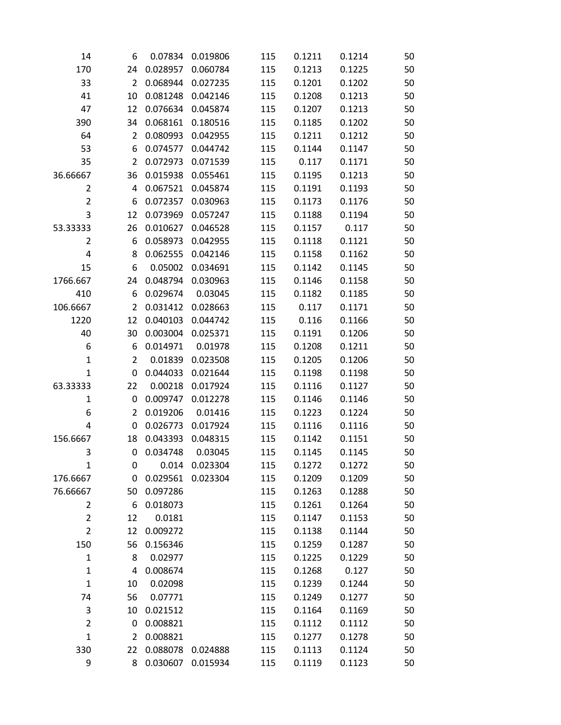| 14             | 6              | 0.07834  | 0.019806 | 115 | 0.1211 | 0.1214 | 50 |
|----------------|----------------|----------|----------|-----|--------|--------|----|
| 170            | 24             | 0.028957 | 0.060784 | 115 | 0.1213 | 0.1225 | 50 |
| 33             | 2              | 0.068944 | 0.027235 | 115 | 0.1201 | 0.1202 | 50 |
| 41             | 10             | 0.081248 | 0.042146 | 115 | 0.1208 | 0.1213 | 50 |
| 47             | 12             | 0.076634 | 0.045874 | 115 | 0.1207 | 0.1213 | 50 |
| 390            | 34             | 0.068161 | 0.180516 | 115 | 0.1185 | 0.1202 | 50 |
| 64             | 2              | 0.080993 | 0.042955 | 115 | 0.1211 | 0.1212 | 50 |
| 53             | 6              | 0.074577 | 0.044742 | 115 | 0.1144 | 0.1147 | 50 |
| 35             | 2              | 0.072973 | 0.071539 | 115 | 0.117  | 0.1171 | 50 |
| 36.66667       | 36             | 0.015938 | 0.055461 | 115 | 0.1195 | 0.1213 | 50 |
| $\overline{2}$ | 4              | 0.067521 | 0.045874 | 115 | 0.1191 | 0.1193 | 50 |
| $\overline{2}$ | 6              | 0.072357 | 0.030963 | 115 | 0.1173 | 0.1176 | 50 |
| 3              | 12             | 0.073969 | 0.057247 | 115 | 0.1188 | 0.1194 | 50 |
| 53.33333       | 26             | 0.010627 | 0.046528 | 115 | 0.1157 | 0.117  | 50 |
| $\overline{2}$ | 6              | 0.058973 | 0.042955 | 115 | 0.1118 | 0.1121 | 50 |
| 4              | 8              | 0.062555 | 0.042146 | 115 | 0.1158 | 0.1162 | 50 |
| 15             | 6              | 0.05002  | 0.034691 | 115 | 0.1142 | 0.1145 | 50 |
| 1766.667       | 24             | 0.048794 | 0.030963 | 115 | 0.1146 | 0.1158 | 50 |
| 410            | 6              | 0.029674 | 0.03045  | 115 | 0.1182 | 0.1185 | 50 |
| 106.6667       | $\overline{2}$ | 0.031412 | 0.028663 | 115 | 0.117  | 0.1171 | 50 |
| 1220           | 12             | 0.040103 | 0.044742 | 115 | 0.116  | 0.1166 | 50 |
| 40             | 30             | 0.003004 | 0.025371 | 115 | 0.1191 | 0.1206 | 50 |
| 6              | 6              | 0.014971 | 0.01978  | 115 | 0.1208 | 0.1211 | 50 |
| $\mathbf{1}$   | $\overline{2}$ | 0.01839  | 0.023508 | 115 | 0.1205 | 0.1206 | 50 |
| $\mathbf{1}$   | 0              | 0.044033 | 0.021644 | 115 | 0.1198 | 0.1198 | 50 |
| 63.33333       | 22             | 0.00218  | 0.017924 | 115 | 0.1116 | 0.1127 | 50 |
| 1              | 0              | 0.009747 | 0.012278 | 115 | 0.1146 | 0.1146 | 50 |
| 6              | 2              | 0.019206 | 0.01416  | 115 | 0.1223 | 0.1224 | 50 |
| 4              | 0              | 0.026773 | 0.017924 | 115 | 0.1116 | 0.1116 | 50 |
| 156.6667       | 18             | 0.043393 | 0.048315 | 115 | 0.1142 | 0.1151 | 50 |
| 3              | 0              | 0.034748 | 0.03045  | 115 | 0.1145 | 0.1145 | 50 |
| $\mathbf{1}$   | 0              | 0.014    | 0.023304 | 115 | 0.1272 | 0.1272 | 50 |
| 176.6667       | 0              | 0.029561 | 0.023304 | 115 | 0.1209 | 0.1209 | 50 |
| 76.66667       | 50             | 0.097286 |          | 115 | 0.1263 | 0.1288 | 50 |
| $\overline{2}$ | 6              | 0.018073 |          | 115 | 0.1261 | 0.1264 | 50 |
| $\overline{2}$ | 12             | 0.0181   |          | 115 | 0.1147 | 0.1153 | 50 |
| $\overline{2}$ | 12             | 0.009272 |          | 115 | 0.1138 | 0.1144 | 50 |
| 150            | 56             | 0.156346 |          | 115 | 0.1259 | 0.1287 | 50 |
| $\mathbf{1}$   | 8              | 0.02977  |          | 115 | 0.1225 | 0.1229 | 50 |
| 1              | 4              | 0.008674 |          | 115 | 0.1268 | 0.127  | 50 |
| $\mathbf 1$    | 10             | 0.02098  |          | 115 | 0.1239 | 0.1244 | 50 |
| 74             | 56             | 0.07771  |          | 115 | 0.1249 | 0.1277 | 50 |
| 3              | 10             | 0.021512 |          | 115 | 0.1164 | 0.1169 | 50 |
| $\overline{2}$ | 0              | 0.008821 |          | 115 | 0.1112 | 0.1112 | 50 |
| $\mathbf{1}$   | 2              | 0.008821 |          | 115 | 0.1277 | 0.1278 | 50 |
| 330            | 22             | 0.088078 | 0.024888 | 115 | 0.1113 | 0.1124 | 50 |
| 9              | 8              | 0.030607 | 0.015934 | 115 | 0.1119 | 0.1123 | 50 |